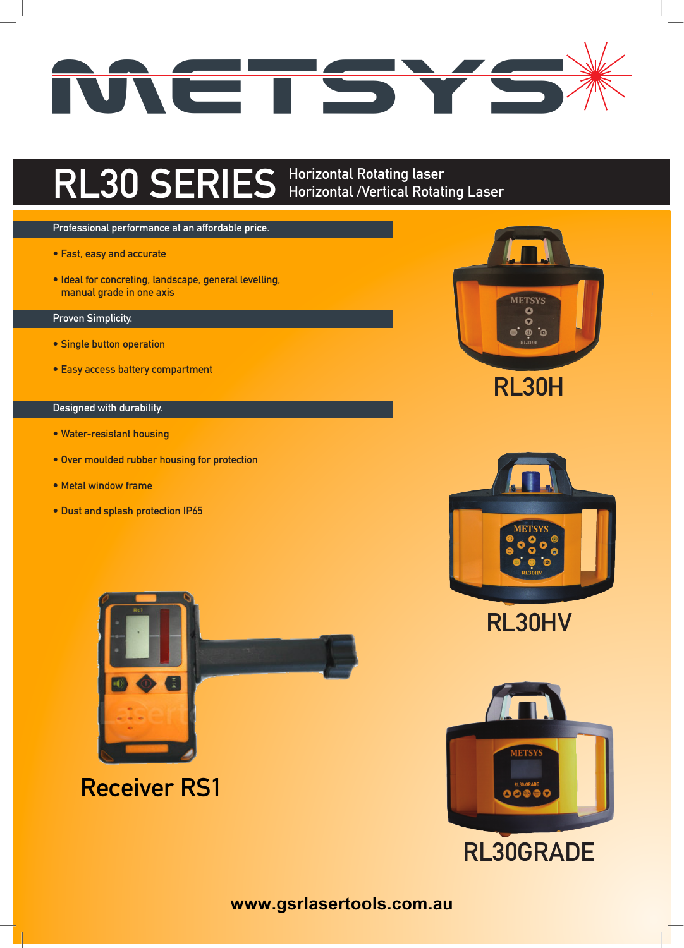

## **RL30 SERIES Horizontal Rotating laser Horizontal /Vertical Rotating Laser**

## **Professional performance at an affordable price.**

- **• Fast, easy and accurate**
- **• Ideal for concreting, landscape, general levelling, manual grade in one axis**

## **Proven Simplicity.**

- **• Single button operation**
- **• Easy access battery compartment**

## **Designed with durability.**

- **• Water-resistant housing**
- **• Over moulded rubber housing for protection**
- **• Metal window frame**
- **• Dust and splash protection IP65**



**Receiver RS1**









**www.gsrlasertools.com.au**